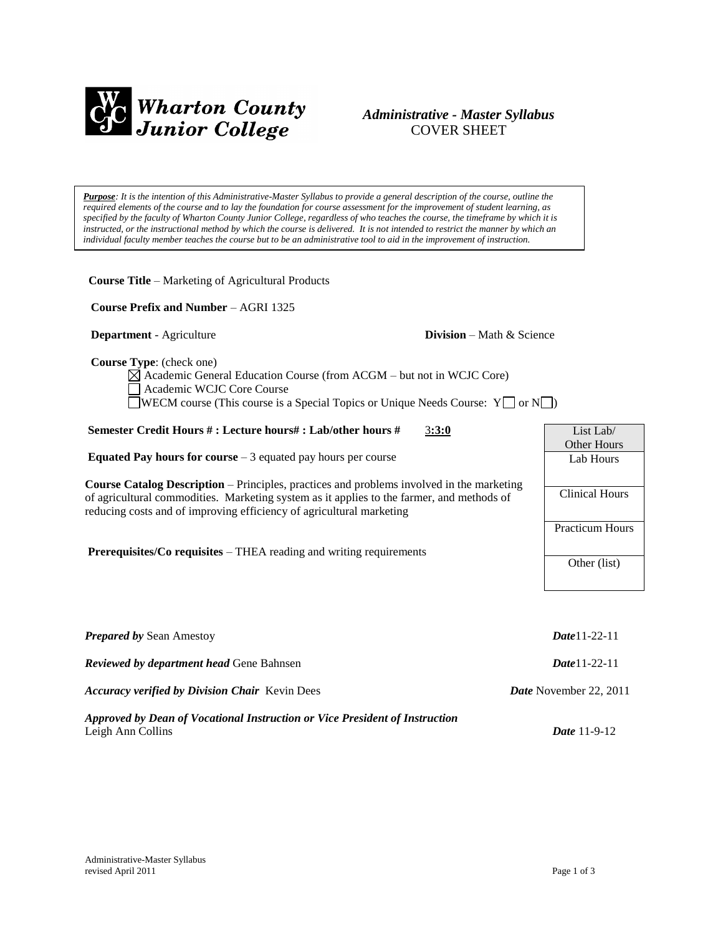

# *Administrative - Master Syllabus*  COVER SHEET

*Purpose: It is the intention of this Administrative-Master Syllabus to provide a general description of the course, outline the required elements of the course and to lay the foundation for course assessment for the improvement of student learning, as specified by the faculty of Wharton County Junior College, regardless of who teaches the course, the timeframe by which it is instructed, or the instructional method by which the course is delivered. It is not intended to restrict the manner by which an individual faculty member teaches the course but to be an administrative tool to aid in the improvement of instruction.*

**Course Title** – Marketing of Agricultural Products

 **Course Prefix and Number** – AGRI 1325

### **Department** - Agriculture **Division** – Math & Science

 **Course Type**: (check one)

Academic General Education Course (from ACGM – but not in WCJC Core) Academic WCJC Core Course  $\Box$ WECM course (This course is a Special Topics or Unique Needs Course: Y $\Box$  or N $\Box$ )

| Semester Credit Hours #: Lecture hours#: Lab/other hours #<br>3:3:0                                                                                               | List Lab $\overline{a}$ |
|-------------------------------------------------------------------------------------------------------------------------------------------------------------------|-------------------------|
|                                                                                                                                                                   | Other Hours             |
| <b>Equated Pay hours for course</b> $-3$ equated pay hours per course                                                                                             | Lab Hours               |
| <b>Course Catalog Description</b> – Principles, practices and problems involved in the marketing                                                                  |                         |
| of agricultural commodities. Marketing system as it applies to the farmer, and methods of<br>reducing costs and of improving efficiency of agricultural marketing | <b>Clinical Hours</b>   |
|                                                                                                                                                                   | <b>Practicum Hours</b>  |
| <b>Prerequisites/Co requisites – THEA reading and writing requirements</b>                                                                                        | Other (list)            |
|                                                                                                                                                                   |                         |
| <b>Prepared by Sean Amestoy</b>                                                                                                                                   | <b>Date</b> 11-22-11    |

| <b>Reviewed by department head Gene Bahnsen</b>                             | $Date 11-22-11$               |
|-----------------------------------------------------------------------------|-------------------------------|
| <b>Accuracy verified by Division Chair</b> Kevin Dees                       | <b>Date</b> November 22, 2011 |
| Approved by Dean of Vocational Instruction or Vice President of Instruction |                               |
| Leigh Ann Collins                                                           | <i>Date</i> $11-9-12$         |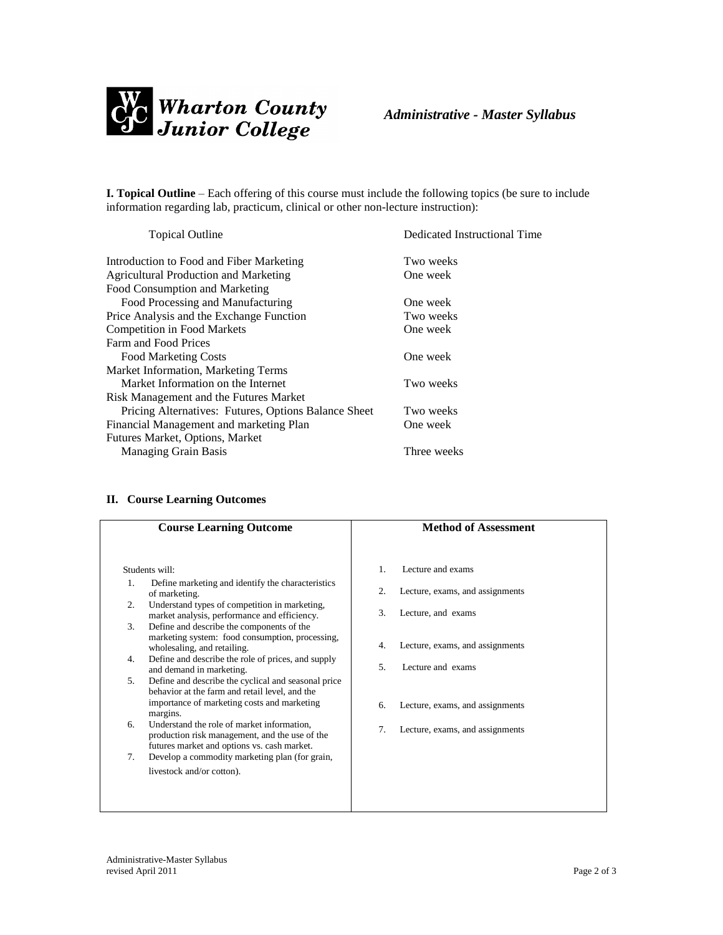

**I. Topical Outline** – Each offering of this course must include the following topics (be sure to include information regarding lab, practicum, clinical or other non-lecture instruction):

| <b>Topical Outline</b>                               | Dedicated Instructional Time |
|------------------------------------------------------|------------------------------|
| Introduction to Food and Fiber Marketing             | Two weeks                    |
| <b>Agricultural Production and Marketing</b>         | One week                     |
| Food Consumption and Marketing                       |                              |
| Food Processing and Manufacturing                    | One week                     |
| Price Analysis and the Exchange Function             | Two weeks                    |
| <b>Competition in Food Markets</b>                   | One week                     |
| Farm and Food Prices                                 |                              |
| <b>Food Marketing Costs</b>                          | One week                     |
| Market Information, Marketing Terms                  |                              |
| Market Information on the Internet                   | Two weeks                    |
| Risk Management and the Futures Market               |                              |
| Pricing Alternatives: Futures, Options Balance Sheet | Two weeks                    |
| Financial Management and marketing Plan              | One week                     |
| Futures Market, Options, Market                      |                              |
| <b>Managing Grain Basis</b>                          | Three weeks                  |
|                                                      |                              |

## **II. Course Learning Outcomes**

| <b>Course Learning Outcome</b>                                                                                                                                         | <b>Method of Assessment</b>           |
|------------------------------------------------------------------------------------------------------------------------------------------------------------------------|---------------------------------------|
| Students will:                                                                                                                                                         | Lecture and exams<br>1.               |
| Define marketing and identify the characteristics<br>1.<br>of marketing.<br>2.                                                                                         | 2.<br>Lecture, exams, and assignments |
| Understand types of competition in marketing,<br>market analysis, performance and efficiency.<br>Define and describe the components of the<br>3.                       | 3.<br>Lecture, and exams              |
| marketing system: food consumption, processing,<br>wholesaling, and retailing.                                                                                         | Lecture, exams, and assignments<br>4. |
| Define and describe the role of prices, and supply<br>4.<br>and demand in marketing.                                                                                   | 5.<br>Lecture and exams               |
| Define and describe the cyclical and seasonal price<br>5.<br>behavior at the farm and retail level, and the<br>importance of marketing costs and marketing<br>margins. | Lecture, exams, and assignments<br>6. |
| Understand the role of market information.<br>6.<br>production risk management, and the use of the<br>futures market and options vs. cash market.                      | 7.<br>Lecture, exams, and assignments |
| Develop a commodity marketing plan (for grain,<br>7.<br>livestock and/or cotton).                                                                                      |                                       |
|                                                                                                                                                                        |                                       |